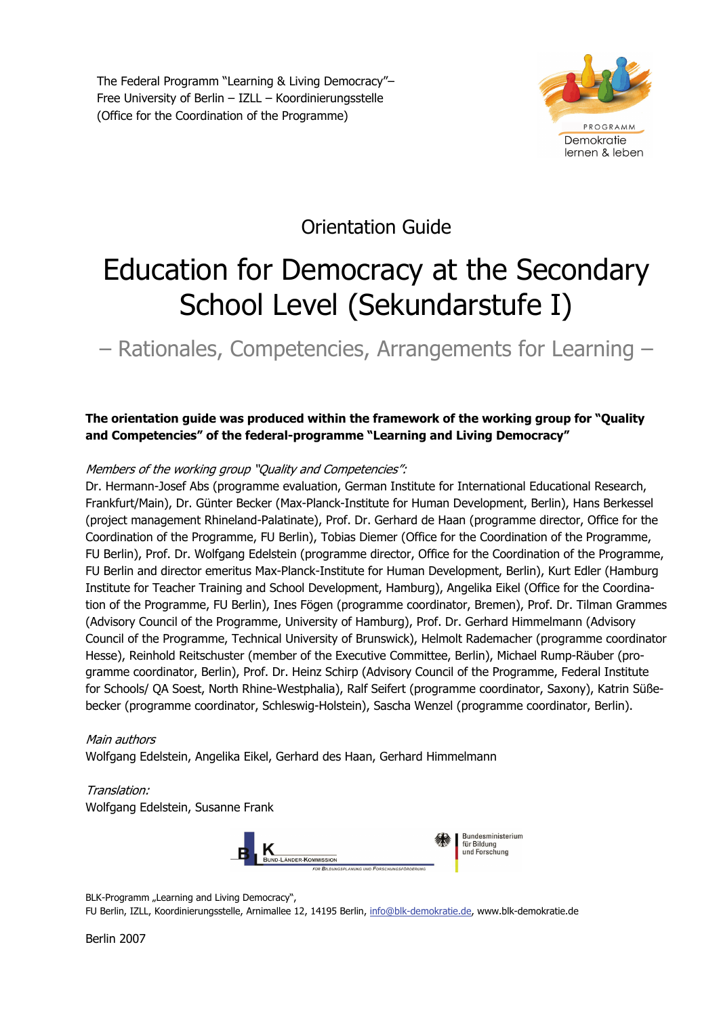The Federal Programm "Learning & Living Democracy"– Free University of Berlin – IZLL – Koordinierungsstelle (Office for the Coordination of the Programme)



# Orientation Guide

# Education for Democracy at the Secondary School Level (Sekundarstufe I)

– Rationales, Competencies, Arrangements for Learning –

**The orientation guide was produced within the framework of the working group for "Quality and Competencies" of the federal-programme "Learning and Living Democracy"** 

#### Members of the working group "Quality and Competencies":

Dr. Hermann-Josef Abs (programme evaluation, German Institute for International Educational Research, Frankfurt/Main), Dr. Günter Becker (Max-Planck-Institute for Human Development, Berlin), Hans Berkessel (project management Rhineland-Palatinate), Prof. Dr. Gerhard de Haan (programme director, Office for the Coordination of the Programme, FU Berlin), Tobias Diemer (Office for the Coordination of the Programme, FU Berlin), Prof. Dr. Wolfgang Edelstein (programme director, Office for the Coordination of the Programme, FU Berlin and director emeritus Max-Planck-Institute for Human Development, Berlin), Kurt Edler (Hamburg Institute for Teacher Training and School Development, Hamburg), Angelika Eikel (Office for the Coordination of the Programme, FU Berlin), Ines Fögen (programme coordinator, Bremen), Prof. Dr. Tilman Grammes (Advisory Council of the Programme, University of Hamburg), Prof. Dr. Gerhard Himmelmann (Advisory Council of the Programme, Technical University of Brunswick), Helmolt Rademacher (programme coordinator Hesse), Reinhold Reitschuster (member of the Executive Committee, Berlin), Michael Rump-Räuber (programme coordinator, Berlin), Prof. Dr. Heinz Schirp (Advisory Council of the Programme, Federal Institute for Schools/ QA Soest, North Rhine-Westphalia), Ralf Seifert (programme coordinator, Saxony), Katrin Süßebecker (programme coordinator, Schleswig-Holstein), Sascha Wenzel (programme coordinator, Berlin).

#### Main authors

Wolfgang Edelstein, Angelika Eikel, Gerhard des Haan, Gerhard Himmelmann

#### Translation:

Wolfgang Edelstein, Susanne Frank



BLK-Programm "Learning and Living Democracy",

FU Berlin, IZLL, Koordinierungsstelle, Arnimallee 12, 14195 Berlin, info@blk-demokratie.de, www.blk-demokratie.de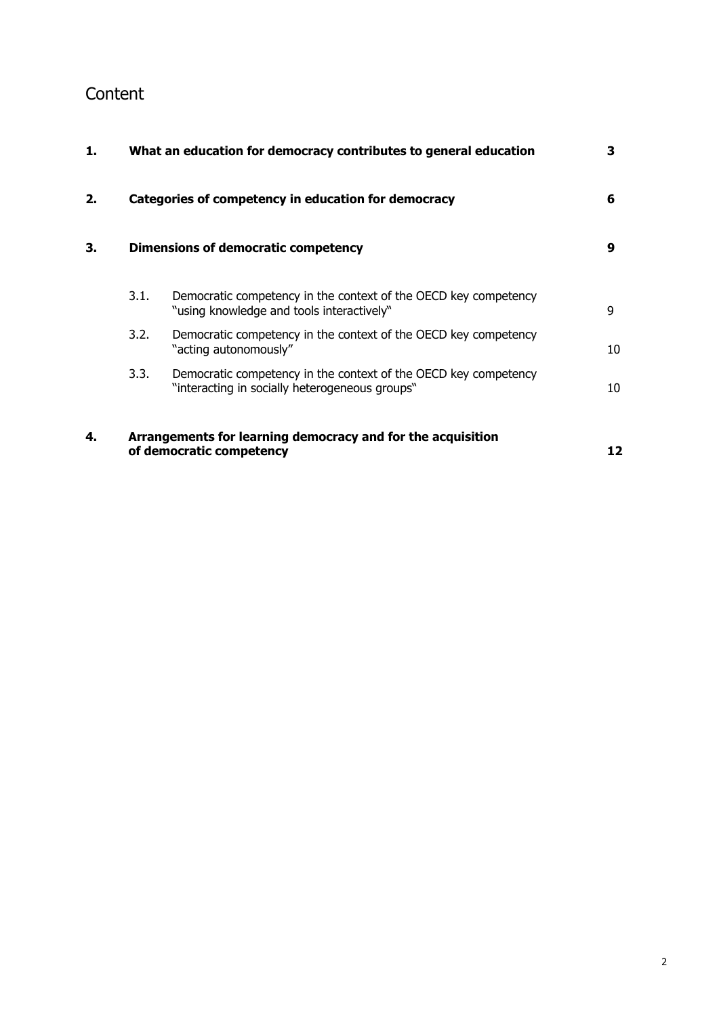# Content

| 1. | What an education for democracy contributes to general education |                                                                                                                   |    |
|----|------------------------------------------------------------------|-------------------------------------------------------------------------------------------------------------------|----|
| 2. |                                                                  | Categories of competency in education for democracy                                                               | 6  |
| 3. |                                                                  | Dimensions of democratic competency                                                                               | 9  |
|    | 3.1.                                                             | Democratic competency in the context of the OECD key competency<br>"using knowledge and tools interactively"      | 9  |
|    | 3.2.                                                             | Democratic competency in the context of the OECD key competency<br>"acting autonomously"                          | 10 |
|    | 3.3.                                                             | Democratic competency in the context of the OECD key competency<br>"interacting in socially heterogeneous groups" | 10 |
| 4. |                                                                  | Arrangements for learning democracy and for the acquisition<br>of democratic competency                           | 12 |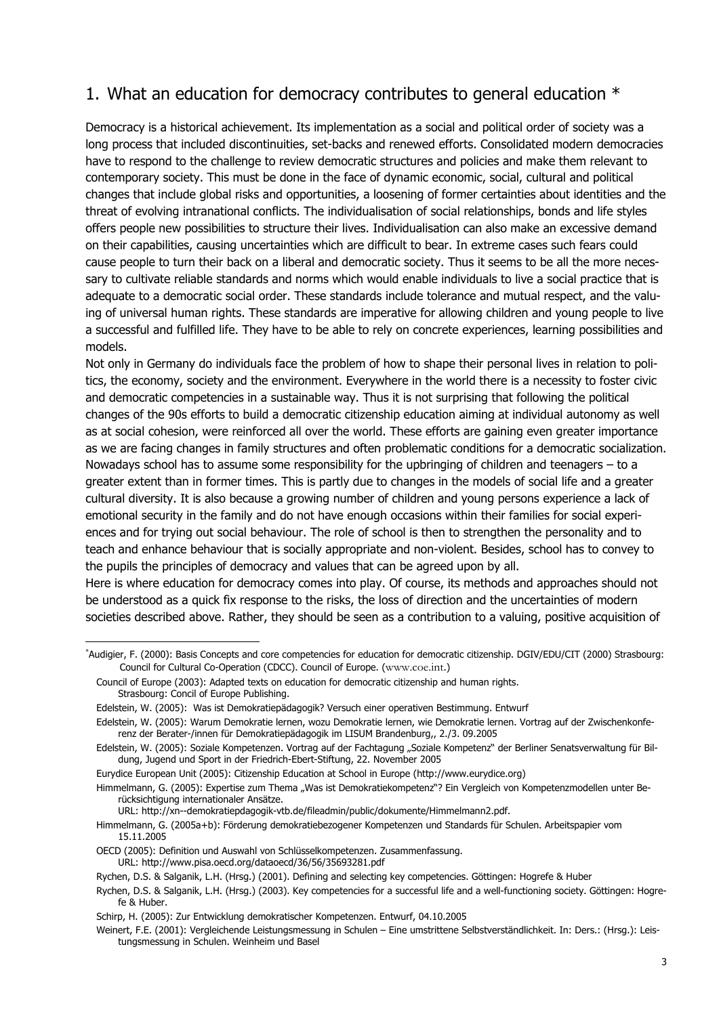# 1. What an education for democracy contributes to general education \*

Democracy is a historical achievement. Its implementation as a social and political order of society was a long process that included discontinuities, set-backs and renewed efforts. Consolidated modern democracies have to respond to the challenge to review democratic structures and policies and make them relevant to contemporary society. This must be done in the face of dynamic economic, social, cultural and political changes that include global risks and opportunities, a loosening of former certainties about identities and the threat of evolving intranational conflicts. The individualisation of social relationships, bonds and life styles offers people new possibilities to structure their lives. Individualisation can also make an excessive demand on their capabilities, causing uncertainties which are difficult to bear. In extreme cases such fears could cause people to turn their back on a liberal and democratic society. Thus it seems to be all the more necessary to cultivate reliable standards and norms which would enable individuals to live a social practice that is adequate to a democratic social order. These standards include tolerance and mutual respect, and the valuing of universal human rights. These standards are imperative for allowing children and young people to live a successful and fulfilled life. They have to be able to rely on concrete experiences, learning possibilities and models.

Not only in Germany do individuals face the problem of how to shape their personal lives in relation to politics, the economy, society and the environment. Everywhere in the world there is a necessity to foster civic and democratic competencies in a sustainable way. Thus it is not surprising that following the political changes of the 90s efforts to build a democratic citizenship education aiming at individual autonomy as well as at social cohesion, were reinforced all over the world. These efforts are gaining even greater importance as we are facing changes in family structures and often problematic conditions for a democratic socialization. Nowadays school has to assume some responsibility for the upbringing of children and teenagers – to a greater extent than in former times. This is partly due to changes in the models of social life and a greater cultural diversity. It is also because a growing number of children and young persons experience a lack of emotional security in the family and do not have enough occasions within their families for social experiences and for trying out social behaviour. The role of school is then to strengthen the personality and to teach and enhance behaviour that is socially appropriate and non-violent. Besides, school has to convey to the pupils the principles of democracy and values that can be agreed upon by all.

Here is where education for democracy comes into play. Of course, its methods and approaches should not be understood as a quick fix response to the risks, the loss of direction and the uncertainties of modern societies described above. Rather, they should be seen as a contribution to a valuing, positive acquisition of

1

URL: http://xn--demokratiepdagogik-vtb.de/fileadmin/public/dokumente/Himmelmann2.pdf.

<sup>\*</sup> Audigier, F. (2000): Basis Concepts and core competencies for education for democratic citizenship. DGIV/EDU/CIT (2000) Strasbourg: Council for Cultural Co-Operation (CDCC). Council of Europe. (www.coe.int.)

Council of Europe (2003): Adapted texts on education for democratic citizenship and human rights. Strasbourg: Concil of Europe Publishing.

Edelstein, W. (2005): Was ist Demokratiepädagogik? Versuch einer operativen Bestimmung. Entwurf

Edelstein, W. (2005): Warum Demokratie lernen, wozu Demokratie lernen, wie Demokratie lernen. Vortrag auf der Zwischenkonferenz der Berater-/innen für Demokratiepädagogik im LISUM Brandenburg,, 2./3. 09.2005

Edelstein, W. (2005): Soziale Kompetenzen. Vortrag auf der Fachtagung "Soziale Kompetenz" der Berliner Senatsverwaltung für Bildung, Jugend und Sport in der Friedrich-Ebert-Stiftung, 22. November 2005

Eurydice European Unit (2005): Citizenship Education at School in Europe (http://www.eurydice.org)

Himmelmann, G. (2005): Expertise zum Thema "Was ist Demokratiekompetenz"? Ein Vergleich von Kompetenzmodellen unter Berücksichtigung internationaler Ansätze.

Himmelmann, G. (2005a+b): Förderung demokratiebezogener Kompetenzen und Standards für Schulen. Arbeitspapier vom 15.11.2005

OECD (2005): Definition und Auswahl von Schlüsselkompetenzen. Zusammenfassung. URL: http://www.pisa.oecd.org/dataoecd/36/56/35693281.pdf

Rychen, D.S. & Salganik, L.H. (Hrsg.) (2001). Defining and selecting key competencies. Göttingen: Hogrefe & Huber

Rychen, D.S. & Salganik, L.H. (Hrsg.) (2003). Key competencies for a successful life and a well-functioning society. Göttingen: Hogrefe & Huber.

Schirp, H. (2005): Zur Entwicklung demokratischer Kompetenzen. Entwurf, 04.10.2005

Weinert, F.E. (2001): Vergleichende Leistungsmessung in Schulen – Eine umstrittene Selbstverständlichkeit. In: Ders.: (Hrsg.): Leistungsmessung in Schulen. Weinheim und Basel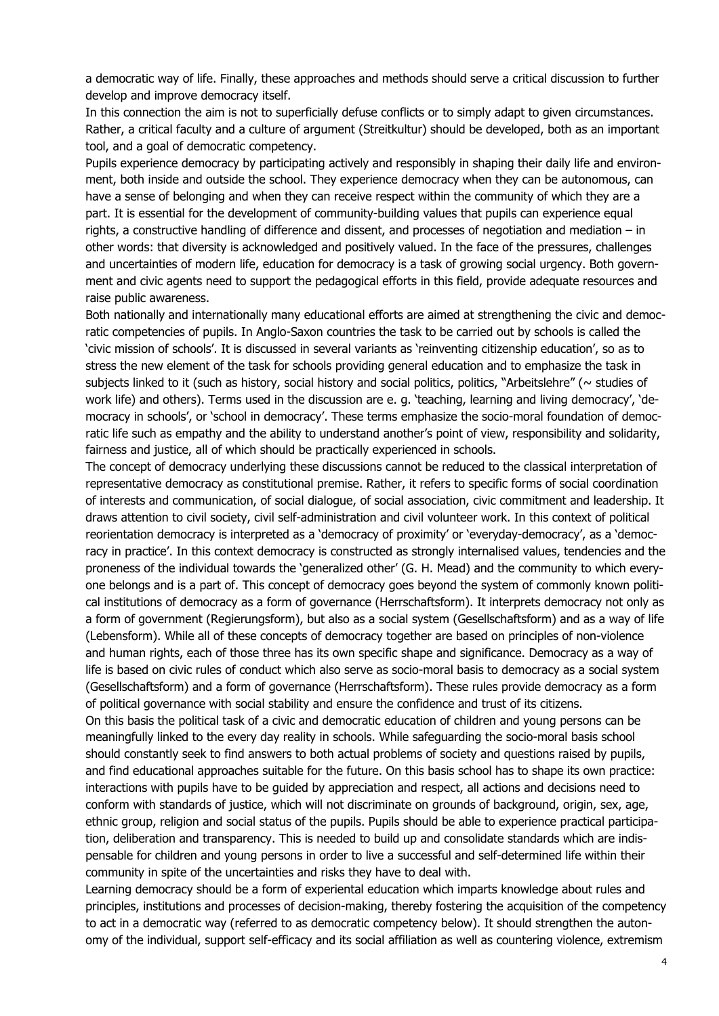a democratic way of life. Finally, these approaches and methods should serve a critical discussion to further develop and improve democracy itself.

In this connection the aim is not to superficially defuse conflicts or to simply adapt to given circumstances. Rather, a critical faculty and a culture of argument (Streitkultur) should be developed, both as an important tool, and a goal of democratic competency.

Pupils experience democracy by participating actively and responsibly in shaping their daily life and environment, both inside and outside the school. They experience democracy when they can be autonomous, can have a sense of belonging and when they can receive respect within the community of which they are a part. It is essential for the development of community-building values that pupils can experience equal rights, a constructive handling of difference and dissent, and processes of negotiation and mediation – in other words: that diversity is acknowledged and positively valued. In the face of the pressures, challenges and uncertainties of modern life, education for democracy is a task of growing social urgency. Both government and civic agents need to support the pedagogical efforts in this field, provide adequate resources and raise public awareness.

Both nationally and internationally many educational efforts are aimed at strengthening the civic and democratic competencies of pupils. In Anglo-Saxon countries the task to be carried out by schools is called the 'civic mission of schools'. It is discussed in several variants as 'reinventing citizenship education', so as to stress the new element of the task for schools providing general education and to emphasize the task in subjects linked to it (such as history, social history and social politics, politics, "Arbeitslehre" ( $\sim$  studies of work life) and others). Terms used in the discussion are e. g. 'teaching, learning and living democracy', 'democracy in schools', or 'school in democracy'. These terms emphasize the socio-moral foundation of democratic life such as empathy and the ability to understand another's point of view, responsibility and solidarity, fairness and justice, all of which should be practically experienced in schools.

The concept of democracy underlying these discussions cannot be reduced to the classical interpretation of representative democracy as constitutional premise. Rather, it refers to specific forms of social coordination of interests and communication, of social dialogue, of social association, civic commitment and leadership. It draws attention to civil society, civil self-administration and civil volunteer work. In this context of political reorientation democracy is interpreted as a 'democracy of proximity' or 'everyday-democracy', as a 'democracy in practice'. In this context democracy is constructed as strongly internalised values, tendencies and the proneness of the individual towards the 'generalized other' (G. H. Mead) and the community to which everyone belongs and is a part of. This concept of democracy goes beyond the system of commonly known political institutions of democracy as a form of governance (Herrschaftsform). It interprets democracy not only as a form of government (Regierungsform), but also as a social system (Gesellschaftsform) and as a way of life (Lebensform). While all of these concepts of democracy together are based on principles of non-violence and human rights, each of those three has its own specific shape and significance. Democracy as a way of life is based on civic rules of conduct which also serve as socio-moral basis to democracy as a social system (Gesellschaftsform) and a form of governance (Herrschaftsform). These rules provide democracy as a form of political governance with social stability and ensure the confidence and trust of its citizens.

On this basis the political task of a civic and democratic education of children and young persons can be meaningfully linked to the every day reality in schools. While safeguarding the socio-moral basis school should constantly seek to find answers to both actual problems of society and questions raised by pupils, and find educational approaches suitable for the future. On this basis school has to shape its own practice: interactions with pupils have to be guided by appreciation and respect, all actions and decisions need to conform with standards of justice, which will not discriminate on grounds of background, origin, sex, age, ethnic group, religion and social status of the pupils. Pupils should be able to experience practical participation, deliberation and transparency. This is needed to build up and consolidate standards which are indispensable for children and young persons in order to live a successful and self-determined life within their community in spite of the uncertainties and risks they have to deal with.

Learning democracy should be a form of experiental education which imparts knowledge about rules and principles, institutions and processes of decision-making, thereby fostering the acquisition of the competency to act in a democratic way (referred to as democratic competency below). It should strengthen the autonomy of the individual, support self-efficacy and its social affiliation as well as countering violence, extremism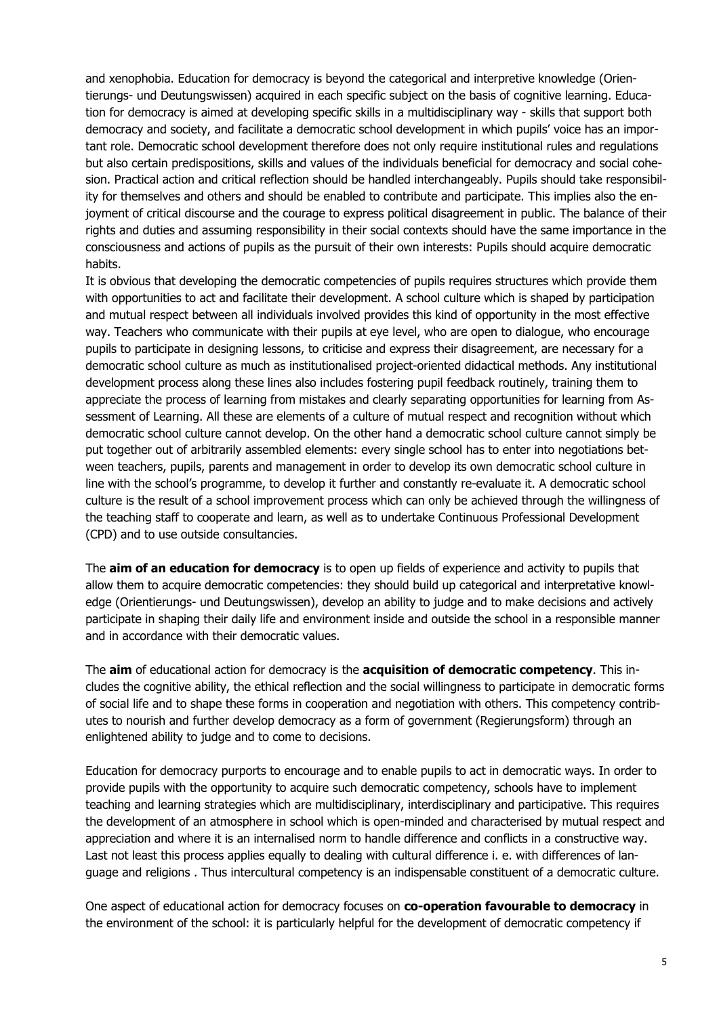and xenophobia. Education for democracy is beyond the categorical and interpretive knowledge (Orientierungs- und Deutungswissen) acquired in each specific subject on the basis of cognitive learning. Education for democracy is aimed at developing specific skills in a multidisciplinary way - skills that support both democracy and society, and facilitate a democratic school development in which pupils' voice has an important role. Democratic school development therefore does not only require institutional rules and regulations but also certain predispositions, skills and values of the individuals beneficial for democracy and social cohesion. Practical action and critical reflection should be handled interchangeably. Pupils should take responsibility for themselves and others and should be enabled to contribute and participate. This implies also the enjoyment of critical discourse and the courage to express political disagreement in public. The balance of their rights and duties and assuming responsibility in their social contexts should have the same importance in the consciousness and actions of pupils as the pursuit of their own interests: Pupils should acquire democratic habits.

It is obvious that developing the democratic competencies of pupils requires structures which provide them with opportunities to act and facilitate their development. A school culture which is shaped by participation and mutual respect between all individuals involved provides this kind of opportunity in the most effective way. Teachers who communicate with their pupils at eye level, who are open to dialogue, who encourage pupils to participate in designing lessons, to criticise and express their disagreement, are necessary for a democratic school culture as much as institutionalised project-oriented didactical methods. Any institutional development process along these lines also includes fostering pupil feedback routinely, training them to appreciate the process of learning from mistakes and clearly separating opportunities for learning from Assessment of Learning. All these are elements of a culture of mutual respect and recognition without which democratic school culture cannot develop. On the other hand a democratic school culture cannot simply be put together out of arbitrarily assembled elements: every single school has to enter into negotiations between teachers, pupils, parents and management in order to develop its own democratic school culture in line with the school's programme, to develop it further and constantly re-evaluate it. A democratic school culture is the result of a school improvement process which can only be achieved through the willingness of the teaching staff to cooperate and learn, as well as to undertake Continuous Professional Development (CPD) and to use outside consultancies.

The **aim of an education for democracy** is to open up fields of experience and activity to pupils that allow them to acquire democratic competencies: they should build up categorical and interpretative knowledge (Orientierungs- und Deutungswissen), develop an ability to judge and to make decisions and actively participate in shaping their daily life and environment inside and outside the school in a responsible manner and in accordance with their democratic values.

The **aim** of educational action for democracy is the **acquisition of democratic competency**. This includes the cognitive ability, the ethical reflection and the social willingness to participate in democratic forms of social life and to shape these forms in cooperation and negotiation with others. This competency contributes to nourish and further develop democracy as a form of government (Regierungsform) through an enlightened ability to judge and to come to decisions.

Education for democracy purports to encourage and to enable pupils to act in democratic ways. In order to provide pupils with the opportunity to acquire such democratic competency, schools have to implement teaching and learning strategies which are multidisciplinary, interdisciplinary and participative. This requires the development of an atmosphere in school which is open-minded and characterised by mutual respect and appreciation and where it is an internalised norm to handle difference and conflicts in a constructive way. Last not least this process applies equally to dealing with cultural difference i. e. with differences of language and religions . Thus intercultural competency is an indispensable constituent of a democratic culture.

One aspect of educational action for democracy focuses on **co-operation favourable to democracy** in the environment of the school: it is particularly helpful for the development of democratic competency if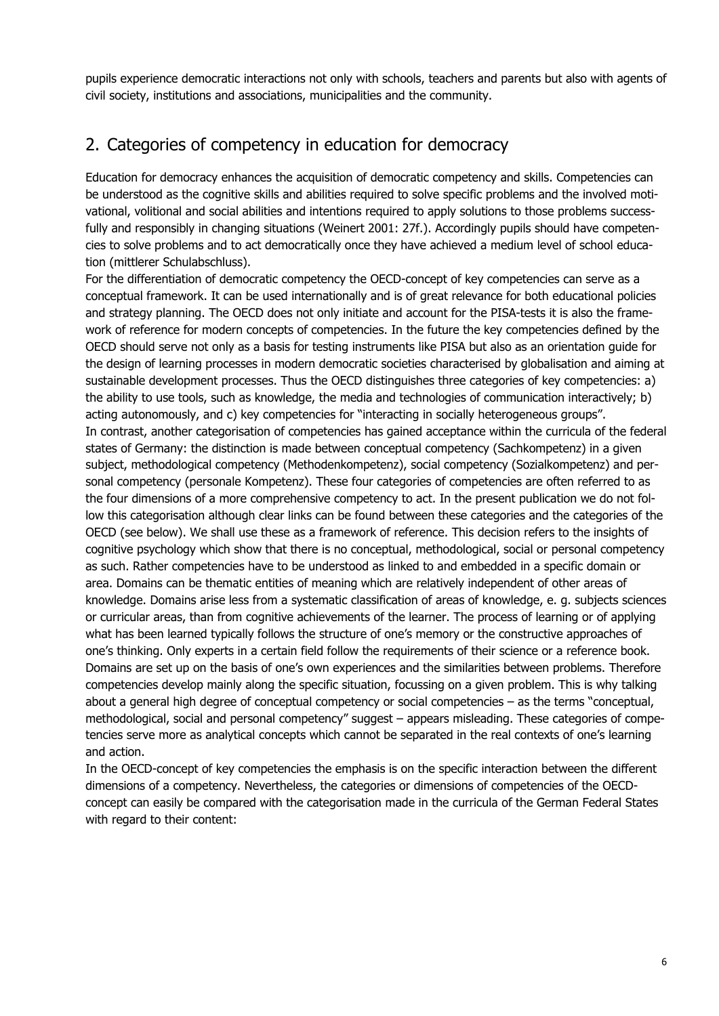pupils experience democratic interactions not only with schools, teachers and parents but also with agents of civil society, institutions and associations, municipalities and the community.

# 2. Categories of competency in education for democracy

Education for democracy enhances the acquisition of democratic competency and skills. Competencies can be understood as the cognitive skills and abilities required to solve specific problems and the involved motivational, volitional and social abilities and intentions required to apply solutions to those problems successfully and responsibly in changing situations (Weinert 2001: 27f.). Accordingly pupils should have competencies to solve problems and to act democratically once they have achieved a medium level of school education (mittlerer Schulabschluss).

For the differentiation of democratic competency the OECD-concept of key competencies can serve as a conceptual framework. It can be used internationally and is of great relevance for both educational policies and strategy planning. The OECD does not only initiate and account for the PISA-tests it is also the framework of reference for modern concepts of competencies. In the future the key competencies defined by the OECD should serve not only as a basis for testing instruments like PISA but also as an orientation guide for the design of learning processes in modern democratic societies characterised by globalisation and aiming at sustainable development processes. Thus the OECD distinguishes three categories of key competencies: a) the ability to use tools, such as knowledge, the media and technologies of communication interactively; b) acting autonomously, and c) key competencies for "interacting in socially heterogeneous groups". In contrast, another categorisation of competencies has gained acceptance within the curricula of the federal states of Germany: the distinction is made between conceptual competency (Sachkompetenz) in a given subject, methodological competency (Methodenkompetenz), social competency (Sozialkompetenz) and personal competency (personale Kompetenz). These four categories of competencies are often referred to as the four dimensions of a more comprehensive competency to act. In the present publication we do not follow this categorisation although clear links can be found between these categories and the categories of the OECD (see below). We shall use these as a framework of reference. This decision refers to the insights of cognitive psychology which show that there is no conceptual, methodological, social or personal competency as such. Rather competencies have to be understood as linked to and embedded in a specific domain or area. Domains can be thematic entities of meaning which are relatively independent of other areas of knowledge. Domains arise less from a systematic classification of areas of knowledge, e. g. subjects sciences or curricular areas, than from cognitive achievements of the learner. The process of learning or of applying what has been learned typically follows the structure of one's memory or the constructive approaches of one's thinking. Only experts in a certain field follow the requirements of their science or a reference book. Domains are set up on the basis of one's own experiences and the similarities between problems. Therefore competencies develop mainly along the specific situation, focussing on a given problem. This is why talking about a general high degree of conceptual competency or social competencies – as the terms "conceptual, methodological, social and personal competency" suggest – appears misleading. These categories of competencies serve more as analytical concepts which cannot be separated in the real contexts of one's learning and action.

In the OECD-concept of key competencies the emphasis is on the specific interaction between the different dimensions of a competency. Nevertheless, the categories or dimensions of competencies of the OECDconcept can easily be compared with the categorisation made in the curricula of the German Federal States with regard to their content: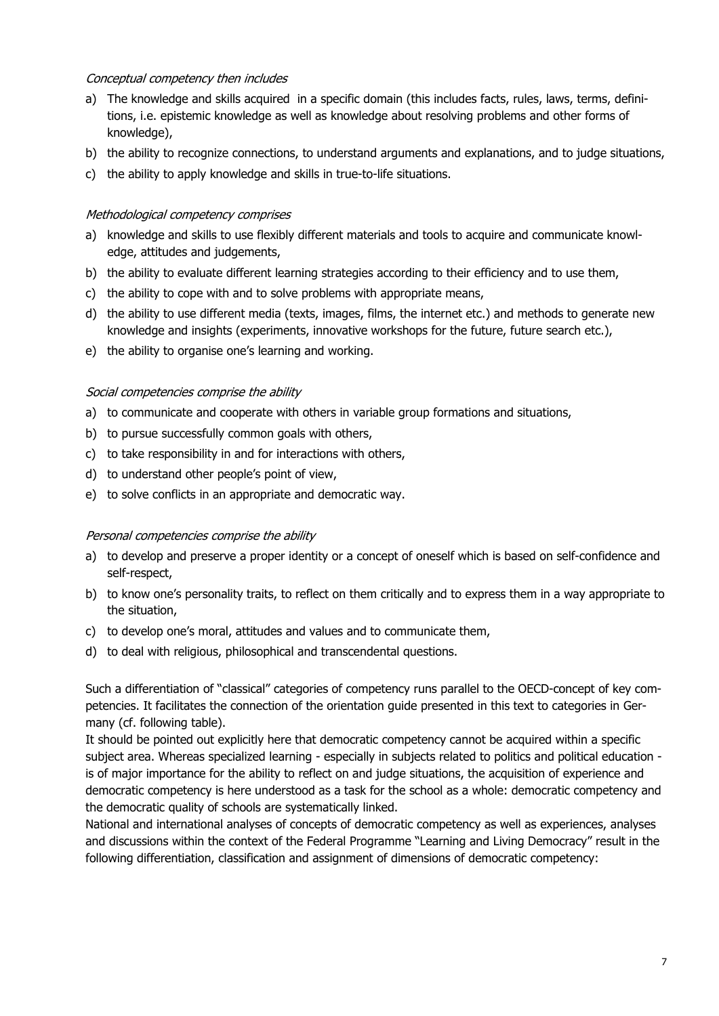#### Conceptual competency then includes

- a) The knowledge and skills acquired in a specific domain (this includes facts, rules, laws, terms, definitions, i.e. epistemic knowledge as well as knowledge about resolving problems and other forms of knowledge),
- b) the ability to recognize connections, to understand arguments and explanations, and to judge situations,
- c) the ability to apply knowledge and skills in true-to-life situations.

#### Methodological competency comprises

- a) knowledge and skills to use flexibly different materials and tools to acquire and communicate knowledge, attitudes and judgements,
- b) the ability to evaluate different learning strategies according to their efficiency and to use them,
- c) the ability to cope with and to solve problems with appropriate means,
- d) the ability to use different media (texts, images, films, the internet etc.) and methods to generate new knowledge and insights (experiments, innovative workshops for the future, future search etc.),
- e) the ability to organise one's learning and working.

#### Social competencies comprise the ability

- a) to communicate and cooperate with others in variable group formations and situations,
- b) to pursue successfully common goals with others,
- c) to take responsibility in and for interactions with others,
- d) to understand other people's point of view,
- e) to solve conflicts in an appropriate and democratic way.

#### Personal competencies comprise the ability

- a) to develop and preserve a proper identity or a concept of oneself which is based on self-confidence and self-respect,
- b) to know one's personality traits, to reflect on them critically and to express them in a way appropriate to the situation,
- c) to develop one's moral, attitudes and values and to communicate them,
- d) to deal with religious, philosophical and transcendental questions.

Such a differentiation of "classical" categories of competency runs parallel to the OECD-concept of key competencies. It facilitates the connection of the orientation guide presented in this text to categories in Germany (cf. following table).

It should be pointed out explicitly here that democratic competency cannot be acquired within a specific subject area. Whereas specialized learning - especially in subjects related to politics and political education is of major importance for the ability to reflect on and judge situations, the acquisition of experience and democratic competency is here understood as a task for the school as a whole: democratic competency and the democratic quality of schools are systematically linked.

National and international analyses of concepts of democratic competency as well as experiences, analyses and discussions within the context of the Federal Programme "Learning and Living Democracy" result in the following differentiation, classification and assignment of dimensions of democratic competency: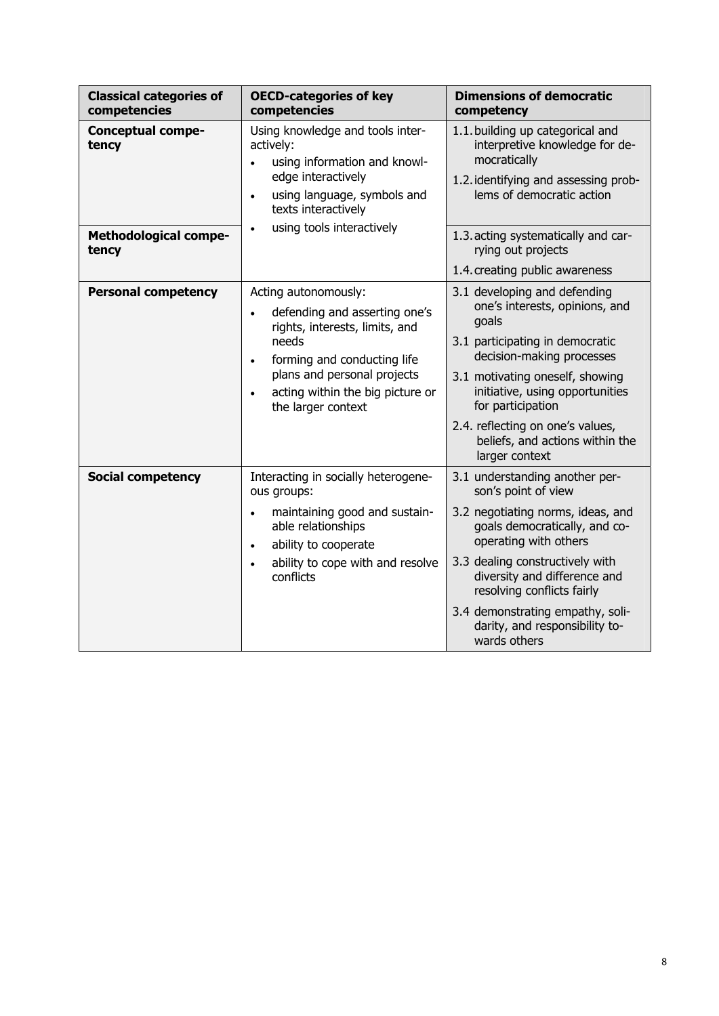| <b>Classical categories of</b><br>competencies | <b>OECD-categories of key</b><br>competencies                                                                                                                                                                                         | <b>Dimensions of democratic</b><br>competency                                                                                                                                                                                                                                                                                               |
|------------------------------------------------|---------------------------------------------------------------------------------------------------------------------------------------------------------------------------------------------------------------------------------------|---------------------------------------------------------------------------------------------------------------------------------------------------------------------------------------------------------------------------------------------------------------------------------------------------------------------------------------------|
| <b>Conceptual compe-</b><br>tency              | Using knowledge and tools inter-<br>actively:<br>using information and knowl-<br>edge interactively<br>using language, symbols and<br>texts interactively                                                                             | 1.1. building up categorical and<br>interpretive knowledge for de-<br>mocratically<br>1.2. identifying and assessing prob-<br>lems of democratic action                                                                                                                                                                                     |
| <b>Methodological compe-</b><br>tency          | using tools interactively                                                                                                                                                                                                             | 1.3. acting systematically and car-<br>rying out projects<br>1.4. creating public awareness                                                                                                                                                                                                                                                 |
| <b>Personal competency</b>                     | Acting autonomously:<br>defending and asserting one's<br>rights, interests, limits, and<br>needs<br>forming and conducting life<br>$\bullet$<br>plans and personal projects<br>acting within the big picture or<br>the larger context | 3.1 developing and defending<br>one's interests, opinions, and<br>goals<br>3.1 participating in democratic<br>decision-making processes<br>3.1 motivating oneself, showing<br>initiative, using opportunities<br>for participation<br>2.4. reflecting on one's values,<br>beliefs, and actions within the<br>larger context                 |
| <b>Social competency</b>                       | Interacting in socially heterogene-<br>ous groups:<br>maintaining good and sustain-<br>$\bullet$<br>able relationships<br>ability to cooperate<br>$\bullet$<br>ability to cope with and resolve<br>conflicts                          | 3.1 understanding another per-<br>son's point of view<br>3.2 negotiating norms, ideas, and<br>goals democratically, and co-<br>operating with others<br>3.3 dealing constructively with<br>diversity and difference and<br>resolving conflicts fairly<br>3.4 demonstrating empathy, soli-<br>darity, and responsibility to-<br>wards others |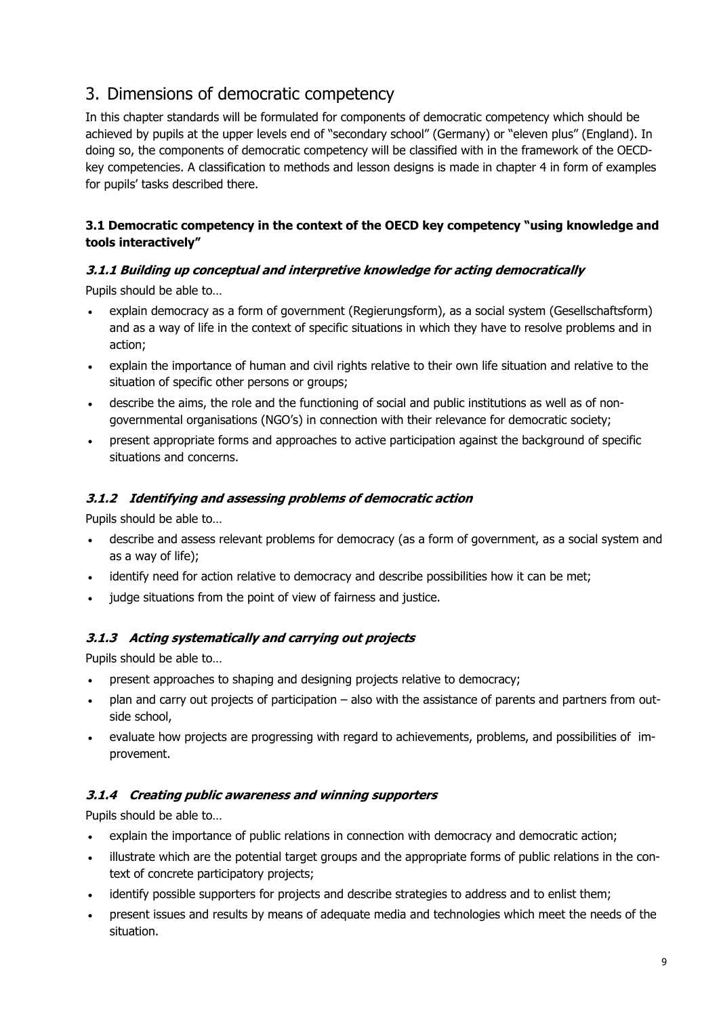# 3. Dimensions of democratic competency

In this chapter standards will be formulated for components of democratic competency which should be achieved by pupils at the upper levels end of "secondary school" (Germany) or "eleven plus" (England). In doing so, the components of democratic competency will be classified with in the framework of the OECDkey competencies. A classification to methods and lesson designs is made in chapter 4 in form of examples for pupils' tasks described there.

## **3.1 Democratic competency in the context of the OECD key competency "using knowledge and tools interactively"**

# **3.1.1 Building up conceptual and interpretive knowledge for acting democratically**

Pupils should be able to…

- explain democracy as a form of government (Regierungsform), as a social system (Gesellschaftsform) and as a way of life in the context of specific situations in which they have to resolve problems and in action;
- explain the importance of human and civil rights relative to their own life situation and relative to the situation of specific other persons or groups;
- describe the aims, the role and the functioning of social and public institutions as well as of nongovernmental organisations (NGO's) in connection with their relevance for democratic society;
- present appropriate forms and approaches to active participation against the background of specific situations and concerns.

### **3.1.2 Identifying and assessing problems of democratic action**

Pupils should be able to…

- describe and assess relevant problems for democracy (as a form of government, as a social system and as a way of life);
- identify need for action relative to democracy and describe possibilities how it can be met;
- judge situations from the point of view of fairness and justice.

## **3.1.3 Acting systematically and carrying out projects**

Pupils should be able to…

- present approaches to shaping and designing projects relative to democracy;
- plan and carry out projects of participation also with the assistance of parents and partners from outside school,
- evaluate how projects are progressing with regard to achievements, problems, and possibilities of improvement.

## **3.1.4 Creating public awareness and winning supporters**

Pupils should be able to…

- explain the importance of public relations in connection with democracy and democratic action;
- illustrate which are the potential target groups and the appropriate forms of public relations in the context of concrete participatory projects;
- identify possible supporters for projects and describe strategies to address and to enlist them;
- present issues and results by means of adequate media and technologies which meet the needs of the situation.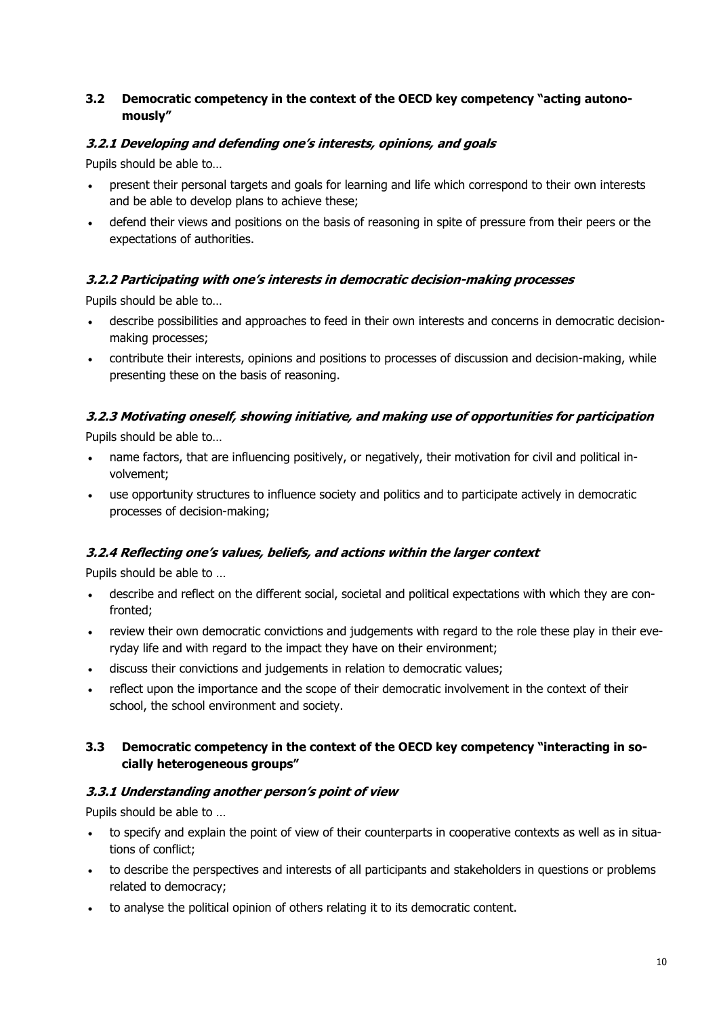## **3.2 Democratic competency in the context of the OECD key competency "acting autonomously"**

### **3.2.1 Developing and defending one's interests, opinions, and goals**

Pupils should be able to…

- present their personal targets and goals for learning and life which correspond to their own interests and be able to develop plans to achieve these;
- defend their views and positions on the basis of reasoning in spite of pressure from their peers or the expectations of authorities.

### **3.2.2 Participating with one's interests in democratic decision-making processes**

Pupils should be able to…

- describe possibilities and approaches to feed in their own interests and concerns in democratic decisionmaking processes;
- contribute their interests, opinions and positions to processes of discussion and decision-making, while presenting these on the basis of reasoning.

# **3.2.3 Motivating oneself, showing initiative, and making use of opportunities for participation**

Pupils should be able to…

- name factors, that are influencing positively, or negatively, their motivation for civil and political involvement;
- use opportunity structures to influence society and politics and to participate actively in democratic processes of decision-making;

#### **3.2.4 Reflecting one's values, beliefs, and actions within the larger context**

Pupils should be able to …

- describe and reflect on the different social, societal and political expectations with which they are confronted;
- review their own democratic convictions and judgements with regard to the role these play in their everyday life and with regard to the impact they have on their environment;
- discuss their convictions and judgements in relation to democratic values;
- reflect upon the importance and the scope of their democratic involvement in the context of their school, the school environment and society.

#### **3.3 Democratic competency in the context of the OECD key competency "interacting in socially heterogeneous groups"**

#### **3.3.1 Understanding another person's point of view**

Pupils should be able to …

- to specify and explain the point of view of their counterparts in cooperative contexts as well as in situations of conflict;
- to describe the perspectives and interests of all participants and stakeholders in questions or problems related to democracy;
- to analyse the political opinion of others relating it to its democratic content.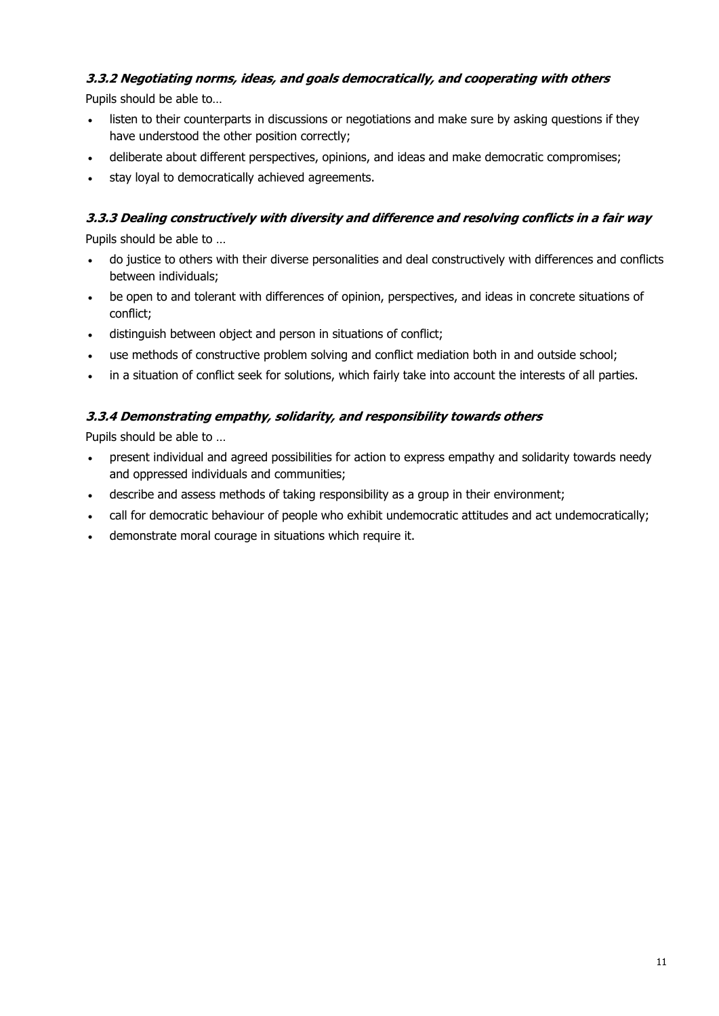# **3.3.2 Negotiating norms, ideas, and goals democratically, and cooperating with others**

Pupils should be able to…

- listen to their counterparts in discussions or negotiations and make sure by asking questions if they have understood the other position correctly;
- deliberate about different perspectives, opinions, and ideas and make democratic compromises;
- stay loyal to democratically achieved agreements.

# **3.3.3 Dealing constructively with diversity and difference and resolving conflicts in a fair way**

Pupils should be able to …

- do justice to others with their diverse personalities and deal constructively with differences and conflicts between individuals;
- be open to and tolerant with differences of opinion, perspectives, and ideas in concrete situations of conflict;
- distinguish between object and person in situations of conflict;
- use methods of constructive problem solving and conflict mediation both in and outside school;
- in a situation of conflict seek for solutions, which fairly take into account the interests of all parties.

# **3.3.4 Demonstrating empathy, solidarity, and responsibility towards others**

Pupils should be able to …

- present individual and agreed possibilities for action to express empathy and solidarity towards needy and oppressed individuals and communities;
- describe and assess methods of taking responsibility as a group in their environment;
- call for democratic behaviour of people who exhibit undemocratic attitudes and act undemocratically;
- demonstrate moral courage in situations which require it.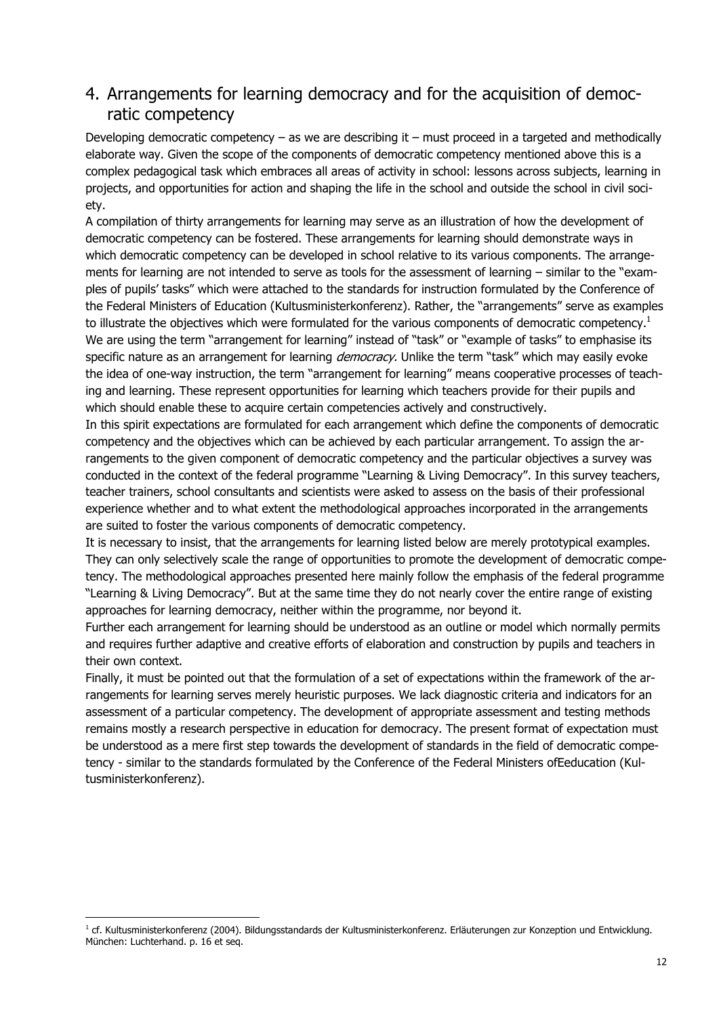# 4. Arrangements for learning democracy and for the acquisition of democratic competency

Developing democratic competency – as we are describing it – must proceed in a targeted and methodically elaborate way. Given the scope of the components of democratic competency mentioned above this is a complex pedagogical task which embraces all areas of activity in school: lessons across subjects, learning in projects, and opportunities for action and shaping the life in the school and outside the school in civil society.

A compilation of thirty arrangements for learning may serve as an illustration of how the development of democratic competency can be fostered. These arrangements for learning should demonstrate ways in which democratic competency can be developed in school relative to its various components. The arrangements for learning are not intended to serve as tools for the assessment of learning – similar to the "examples of pupils' tasks" which were attached to the standards for instruction formulated by the Conference of the Federal Ministers of Education (Kultusministerkonferenz). Rather, the "arrangements" serve as examples to illustrate the objectives which were formulated for the various components of democratic competency.<sup>1</sup> We are using the term "arrangement for learning" instead of "task" or "example of tasks" to emphasise its specific nature as an arrangement for learning *democracy*. Unlike the term "task" which may easily evoke the idea of one-way instruction, the term "arrangement for learning" means cooperative processes of teaching and learning. These represent opportunities for learning which teachers provide for their pupils and which should enable these to acquire certain competencies actively and constructively.

In this spirit expectations are formulated for each arrangement which define the components of democratic competency and the objectives which can be achieved by each particular arrangement. To assign the arrangements to the given component of democratic competency and the particular objectives a survey was conducted in the context of the federal programme "Learning & Living Democracy". In this survey teachers, teacher trainers, school consultants and scientists were asked to assess on the basis of their professional experience whether and to what extent the methodological approaches incorporated in the arrangements are suited to foster the various components of democratic competency.

It is necessary to insist, that the arrangements for learning listed below are merely prototypical examples. They can only selectively scale the range of opportunities to promote the development of democratic competency. The methodological approaches presented here mainly follow the emphasis of the federal programme "Learning & Living Democracy". But at the same time they do not nearly cover the entire range of existing approaches for learning democracy, neither within the programme, nor beyond it.

Further each arrangement for learning should be understood as an outline or model which normally permits and requires further adaptive and creative efforts of elaboration and construction by pupils and teachers in their own context.

Finally, it must be pointed out that the formulation of a set of expectations within the framework of the arrangements for learning serves merely heuristic purposes. We lack diagnostic criteria and indicators for an assessment of a particular competency. The development of appropriate assessment and testing methods remains mostly a research perspective in education for democracy. The present format of expectation must be understood as a mere first step towards the development of standards in the field of democratic competency - similar to the standards formulated by the Conference of the Federal Ministers ofEeducation (Kultusministerkonferenz).

<u>.</u>

<sup>&</sup>lt;sup>1</sup> cf. Kultusministerkonferenz (2004). Bildungsstandards der Kultusministerkonferenz. Erläuterungen zur Konzeption und Entwicklung. München: Luchterhand. p. 16 et seq.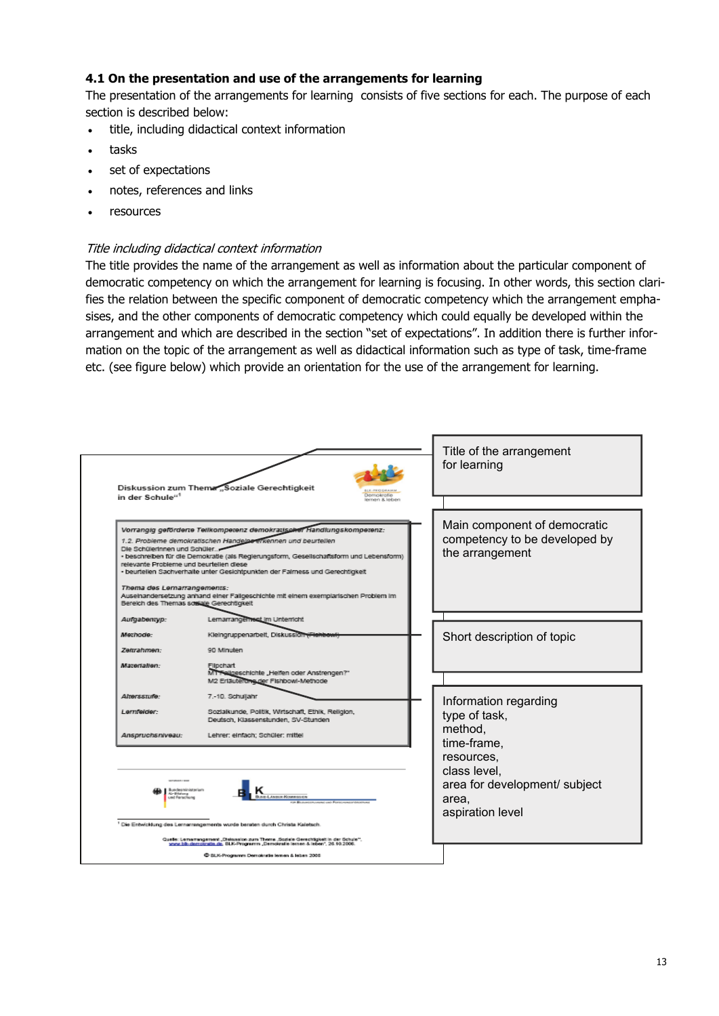#### **4.1 On the presentation and use of the arrangements for learning**

The presentation of the arrangements for learning consists of five sections for each. The purpose of each section is described below:

- title, including didactical context information
- tasks
- set of expectations
- notes, references and links
- resources

#### Title including didactical context information

The title provides the name of the arrangement as well as information about the particular component of democratic competency on which the arrangement for learning is focusing. In other words, this section clarifies the relation between the specific component of democratic competency which the arrangement emphasises, and the other components of democratic competency which could equally be developed within the arrangement and which are described in the section "set of expectations". In addition there is further information on the topic of the arrangement as well as didactical information such as type of task, time-frame etc. (see figure below) which provide an orientation for the use of the arrangement for learning.

| in der Schule" <sup>1</sup>                                                                                                                         | Diskussion zum Thema "Soziale Gerechtigkeit<br>Demokratie<br>emen & leben                                                                                                                                                                                                                                                                                                                               | Title of the arrangement<br>for learning                                                       |  |
|-----------------------------------------------------------------------------------------------------------------------------------------------------|---------------------------------------------------------------------------------------------------------------------------------------------------------------------------------------------------------------------------------------------------------------------------------------------------------------------------------------------------------------------------------------------------------|------------------------------------------------------------------------------------------------|--|
| Die Schülerinnen und Schüler.<br>relevante Probleme und beurtellen diese<br>Thema des Lernarrangements:<br>Bereich des Themas sossale Gerechtigkeit | Vorrangig geförderte Tellkompetenz demokratischer Handlungskompetenz:<br>1.2. Probleme demokratischen Handelpe erkennen und beurtellen<br>· beschreiben für die Demokratie (als Regierungsform, Geseilschaftsform und Lebensform)<br>· beurtellen Sachverhalte unter Gesichtpunkten der Falmess und Gerechtigkeit<br>Auseinandersetzung anhand einer Fallgeschichte mit einem exemplarischen Problem im | Main component of democratic<br>competency to be developed by<br>the arrangement               |  |
| Aufgabentyp:<br>Methode:<br>Zettrahmen:                                                                                                             | Lemarrangement im Unterricht<br>Kleingruppenarbeit, Diskussion i Henbewi<br>90 Minuten                                                                                                                                                                                                                                                                                                                  | Short description of topic                                                                     |  |
| Materialien:<br>Altersstufe:<br>Lernfelder:                                                                                                         | Filochart<br>MT Folloeschichte "Heifen oder Anstrengen?"<br>M2 Erläuterung der Fishbowi-Methode<br>7.-10. Schuljahr<br>Sozialkunde, Politik, Wirtschaft, Ethik, Religion,<br>Deutsch, Klassenstunden, SV-Stunden                                                                                                                                                                                        | Information regarding<br>type of task,                                                         |  |
| Anspruchsniveau:<br>Lehrer: einfach; Schüler: mittel<br>undesministerium<br><b>AL-Biblions</b><br>mill Annual Mongolsson<br>and Fernather           |                                                                                                                                                                                                                                                                                                                                                                                                         | method,<br>time-frame,<br>resources.<br>class level,<br>area for development/ subject<br>area, |  |
|                                                                                                                                                     | Die Entwicklung des Lernansngements wurde beraten durch Christa Kaletsch.<br>Quelle: Lemamangement "Diskussion zum Theme "Soziale Gerechtigkeit in der Schule".<br>www.blk-demokratie.de, BLK-Programm "Demokratie lemen & leben", 26.10.2006.<br>C BLK-Programm Demokratie lemen & leben 2005                                                                                                          | aspiration level                                                                               |  |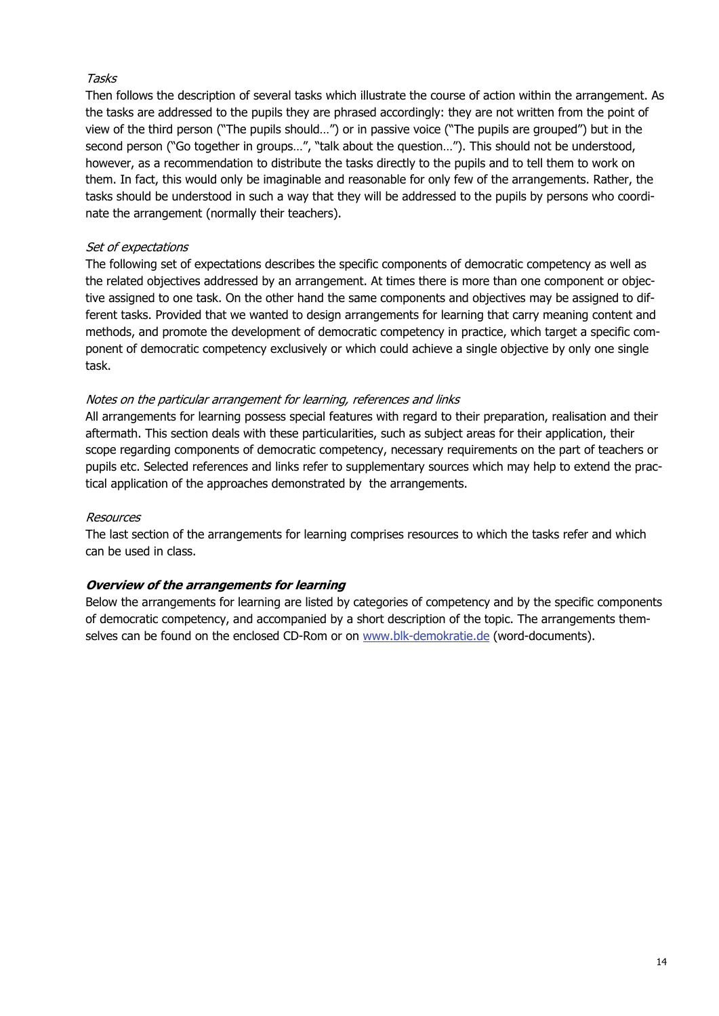#### Tasks

Then follows the description of several tasks which illustrate the course of action within the arrangement. As the tasks are addressed to the pupils they are phrased accordingly: they are not written from the point of view of the third person ("The pupils should…") or in passive voice ("The pupils are grouped") but in the second person ("Go together in groups…", "talk about the question…"). This should not be understood, however, as a recommendation to distribute the tasks directly to the pupils and to tell them to work on them. In fact, this would only be imaginable and reasonable for only few of the arrangements. Rather, the tasks should be understood in such a way that they will be addressed to the pupils by persons who coordinate the arrangement (normally their teachers).

#### Set of expectations

The following set of expectations describes the specific components of democratic competency as well as the related objectives addressed by an arrangement. At times there is more than one component or objective assigned to one task. On the other hand the same components and objectives may be assigned to different tasks. Provided that we wanted to design arrangements for learning that carry meaning content and methods, and promote the development of democratic competency in practice, which target a specific component of democratic competency exclusively or which could achieve a single objective by only one single task.

#### Notes on the particular arrangement for learning, references and links

All arrangements for learning possess special features with regard to their preparation, realisation and their aftermath. This section deals with these particularities, such as subject areas for their application, their scope regarding components of democratic competency, necessary requirements on the part of teachers or pupils etc. Selected references and links refer to supplementary sources which may help to extend the practical application of the approaches demonstrated by the arrangements.

#### Resources

The last section of the arrangements for learning comprises resources to which the tasks refer and which can be used in class.

## **Overview of the arrangements for learning**

Below the arrangements for learning are listed by categories of competency and by the specific components of democratic competency, and accompanied by a short description of the topic. The arrangements themselves can be found on the enclosed CD-Rom or on www.blk-demokratie.de (word-documents).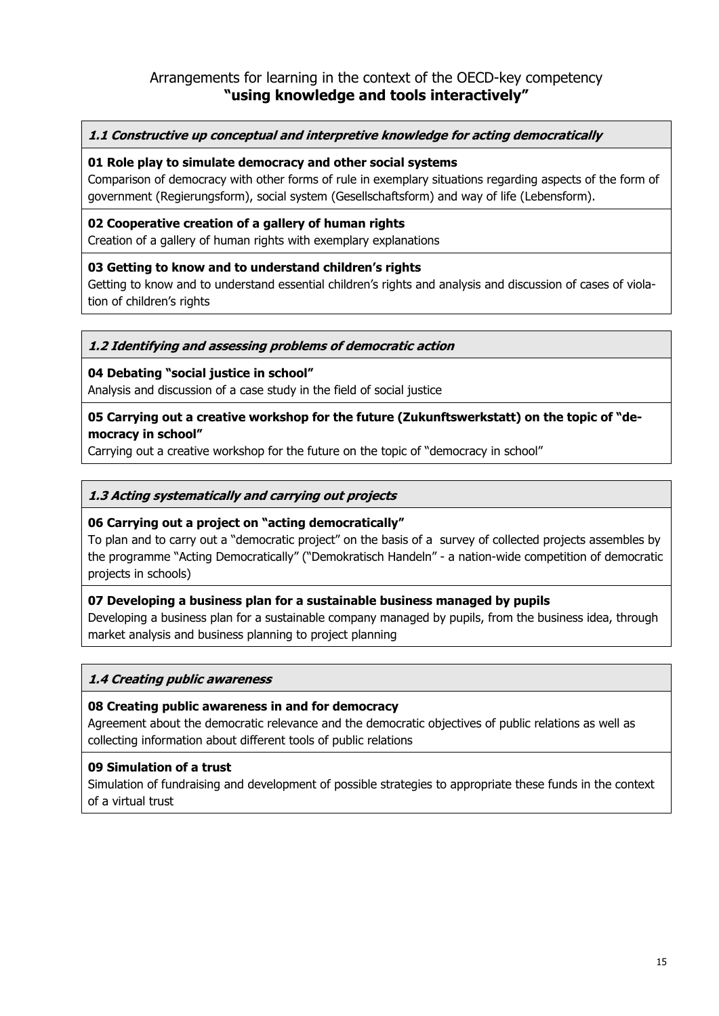# Arrangements for learning in the context of the OECD-key competency **"using knowledge and tools interactively"**

**1.1 Constructive up conceptual and interpretive knowledge for acting democratically**

#### **01 Role play to simulate democracy and other social systems**

Comparison of democracy with other forms of rule in exemplary situations regarding aspects of the form of government (Regierungsform), social system (Gesellschaftsform) and way of life (Lebensform).

#### **02 Cooperative creation of a gallery of human rights**

Creation of a gallery of human rights with exemplary explanations

#### **03 Getting to know and to understand children's rights**

Getting to know and to understand essential children's rights and analysis and discussion of cases of violation of children's rights

#### **1.2 Identifying and assessing problems of democratic action**

#### **04 Debating "social justice in school"**

Analysis and discussion of a case study in the field of social justice

#### **05 Carrying out a creative workshop for the future (Zukunftswerkstatt) on the topic of "democracy in school"**

Carrying out a creative workshop for the future on the topic of "democracy in school"

#### **1.3 Acting systematically and carrying out projects**

#### **06 Carrying out a project on "acting democratically"**

To plan and to carry out a "democratic project" on the basis of a survey of collected projects assembles by the programme "Acting Democratically" ("Demokratisch Handeln" - a nation-wide competition of democratic projects in schools)

#### **07 Developing a business plan for a sustainable business managed by pupils**

Developing a business plan for a sustainable company managed by pupils, from the business idea, through market analysis and business planning to project planning

#### **1.4 Creating public awareness**

#### **08 Creating public awareness in and for democracy**

Agreement about the democratic relevance and the democratic objectives of public relations as well as collecting information about different tools of public relations

#### **09 Simulation of a trust**

Simulation of fundraising and development of possible strategies to appropriate these funds in the context of a virtual trust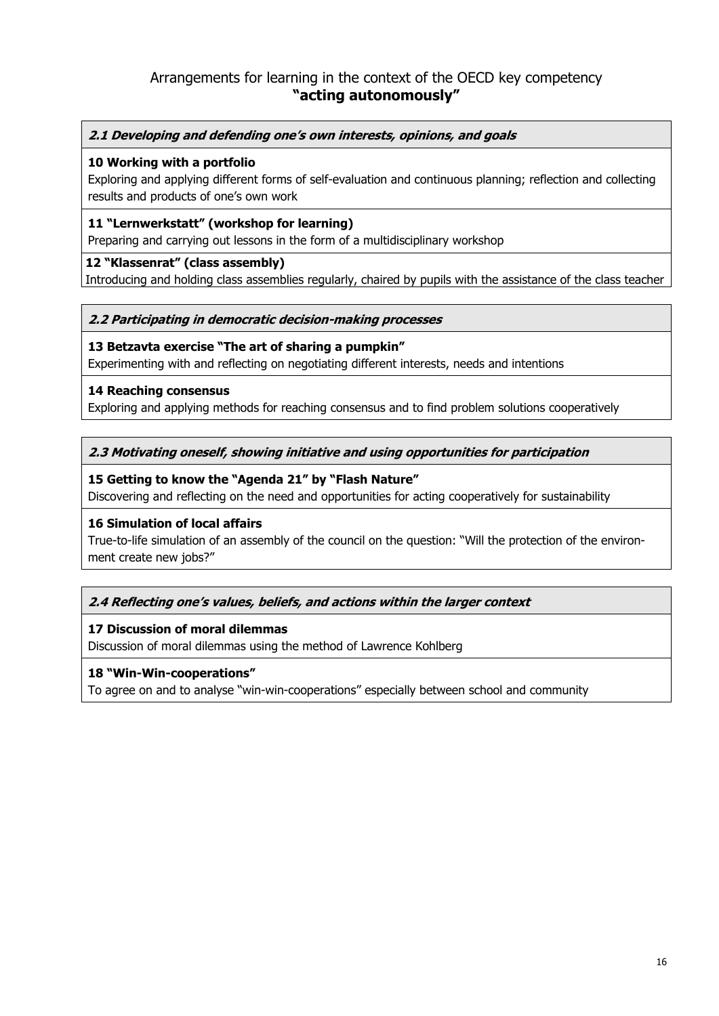# Arrangements for learning in the context of the OECD key competency **"acting autonomously"**

#### **2.1 Developing and defending one's own interests, opinions, and goals**

#### **10 Working with a portfolio**

Exploring and applying different forms of self-evaluation and continuous planning; reflection and collecting results and products of one's own work

#### **11 "Lernwerkstatt" (workshop for learning)**

Preparing and carrying out lessons in the form of a multidisciplinary workshop

#### **12 "Klassenrat" (class assembly)**

Introducing and holding class assemblies regularly, chaired by pupils with the assistance of the class teacher

#### **2.2 Participating in democratic decision-making processes**

#### **13 Betzavta exercise "The art of sharing a pumpkin"**

Experimenting with and reflecting on negotiating different interests, needs and intentions

#### **14 Reaching consensus**

Exploring and applying methods for reaching consensus and to find problem solutions cooperatively

#### **2.3 Motivating oneself, showing initiative and using opportunities for participation**

#### **15 Getting to know the "Agenda 21" by "Flash Nature"**

Discovering and reflecting on the need and opportunities for acting cooperatively for sustainability

#### **16 Simulation of local affairs**

True-to-life simulation of an assembly of the council on the question: "Will the protection of the environment create new jobs?"

#### **2.4 Reflecting one's values, beliefs, and actions within the larger context**

#### **17 Discussion of moral dilemmas**

Discussion of moral dilemmas using the method of Lawrence Kohlberg

#### **18 "Win-Win-cooperations"**

To agree on and to analyse "win-win-cooperations" especially between school and community